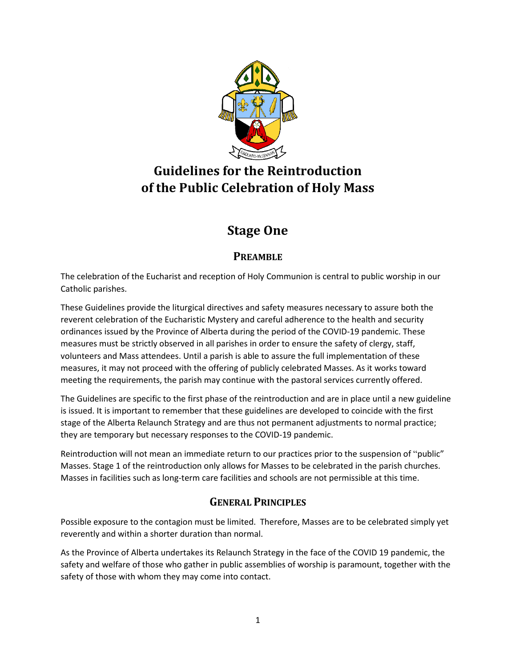

# **Guidelines for the Reintroduction of the Public Celebration of Holy Mass**

# **Stage One**

# **PREAMBLE**

The celebration of the Eucharist and reception of Holy Communion is central to public worship in our Catholic parishes.

These Guidelines provide the liturgical directives and safety measures necessary to assure both the reverent celebration of the Eucharistic Mystery and careful adherence to the health and security ordinances issued by the Province of Alberta during the period of the COVID-19 pandemic. These measures must be strictly observed in all parishes in order to ensure the safety of clergy, staff, volunteers and Mass attendees. Until a parish is able to assure the full implementation of these measures, it may not proceed with the offering of publicly celebrated Masses. As it works toward meeting the requirements, the parish may continue with the pastoral services currently offered.

The Guidelines are specific to the first phase of the reintroduction and are in place until a new guideline is issued. It is important to remember that these guidelines are developed to coincide with the first stage of the Alberta Relaunch Strategy and are thus not permanent adjustments to normal practice; they are temporary but necessary responses to the COVID-19 pandemic.

Reintroduction will not mean an immediate return to our practices prior to the suspension of "public" Masses. Stage 1 of the reintroduction only allows for Masses to be celebrated in the parish churches. Masses in facilities such as long-term care facilities and schools are not permissible at this time.

## **GENERAL PRINCIPLES**

Possible exposure to the contagion must be limited. Therefore, Masses are to be celebrated simply yet reverently and within a shorter duration than normal.

As the Province of Alberta undertakes its Relaunch Strategy in the face of the COVID 19 pandemic, the safety and welfare of those who gather in public assemblies of worship is paramount, together with the safety of those with whom they may come into contact.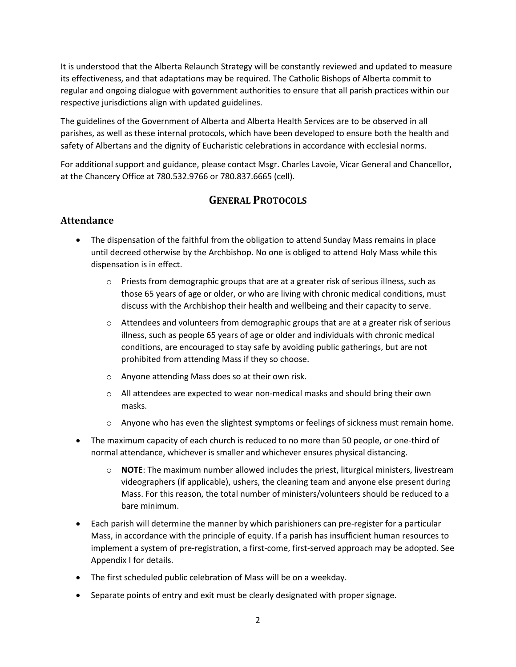It is understood that the Alberta Relaunch Strategy will be constantly reviewed and updated to measure its effectiveness, and that adaptations may be required. The Catholic Bishops of Alberta commit to regular and ongoing dialogue with government authorities to ensure that all parish practices within our respective jurisdictions align with updated guidelines.

The guidelines of the Government of Alberta and Alberta Health Services are to be observed in all parishes, as well as these internal protocols, which have been developed to ensure both the health and safety of Albertans and the dignity of Eucharistic celebrations in accordance with ecclesial norms.

For additional support and guidance, please contact Msgr. Charles Lavoie, Vicar General and Chancellor, at the Chancery Office at 780.532.9766 or 780.837.6665 (cell).

## **GENERAL PROTOCOLS**

### **Attendance**

- The dispensation of the faithful from the obligation to attend Sunday Mass remains in place until decreed otherwise by the Archbishop. No one is obliged to attend Holy Mass while this dispensation is in effect.
	- $\circ$  Priests from demographic groups that are at a greater risk of serious illness, such as those 65 years of age or older, or who are living with chronic medical conditions, must discuss with the Archbishop their health and wellbeing and their capacity to serve.
	- $\circ$  Attendees and volunteers from demographic groups that are at a greater risk of serious illness, such as people 65 years of age or older and individuals with chronic medical conditions, are encouraged to stay safe by avoiding public gatherings, but are not prohibited from attending Mass if they so choose.
	- o Anyone attending Mass does so at their own risk.
	- o All attendees are expected to wear non-medical masks and should bring their own masks.
	- $\circ$  Anyone who has even the slightest symptoms or feelings of sickness must remain home.
- The maximum capacity of each church is reduced to no more than 50 people, or one-third of normal attendance, whichever is smaller and whichever ensures physical distancing.
	- o **NOTE**: The maximum number allowed includes the priest, liturgical ministers, livestream videographers (if applicable), ushers, the cleaning team and anyone else present during Mass. For this reason, the total number of ministers/volunteers should be reduced to a bare minimum.
- Each parish will determine the manner by which parishioners can pre-register for a particular Mass, in accordance with the principle of equity. If a parish has insufficient human resources to implement a system of pre-registration, a first-come, first-served approach may be adopted. See Appendix I for details.
- The first scheduled public celebration of Mass will be on a weekday.
- Separate points of entry and exit must be clearly designated with proper signage.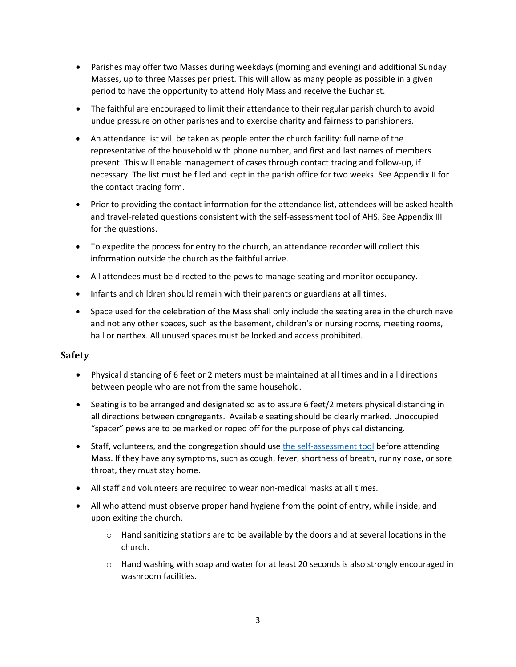- Parishes may offer two Masses during weekdays (morning and evening) and additional Sunday Masses, up to three Masses per priest. This will allow as many people as possible in a given period to have the opportunity to attend Holy Mass and receive the Eucharist.
- The faithful are encouraged to limit their attendance to their regular parish church to avoid undue pressure on other parishes and to exercise charity and fairness to parishioners.
- An attendance list will be taken as people enter the church facility: full name of the representative of the household with phone number, and first and last names of members present. This will enable management of cases through contact tracing and follow-up, if necessary. The list must be filed and kept in the parish office for two weeks. See Appendix II for the contact tracing form.
- Prior to providing the contact information for the attendance list, attendees will be asked health and travel-related questions consistent with the self-assessment tool of AHS. See Appendix III for the questions.
- To expedite the process for entry to the church, an attendance recorder will collect this information outside the church as the faithful arrive.
- All attendees must be directed to the pews to manage seating and monitor occupancy.
- Infants and children should remain with their parents or guardians at all times.
- Space used for the celebration of the Mass shall only include the seating area in the church nave and not any other spaces, such as the basement, children's or nursing rooms, meeting rooms, hall or narthex. All unused spaces must be locked and access prohibited.

### **Safety**

- Physical distancing of 6 feet or 2 meters must be maintained at all times and in all directions between people who are not from the same household.
- Seating is to be arranged and designated so as to assure 6 feet/2 meters physical distancing in all directions between congregants. Available seating should be clearly marked. Unoccupied "spacer" pews are to be marked or roped off for the purpose of physical distancing.
- Staff, volunteers, and the congregation should us[e the self-assessment tool](https://myhealth.alberta.ca/Journey/COVID-19/Pages/COVID-Self-Assessment.aspx) before attending Mass. If they have any symptoms, such as cough, fever, shortness of breath, runny nose, or sore throat, they must stay home.
- All staff and volunteers are required to wear non-medical masks at all times.
- All who attend must observe proper hand hygiene from the point of entry, while inside, and upon exiting the church.
	- $\circ$  Hand sanitizing stations are to be available by the doors and at several locations in the church.
	- o Hand washing with soap and water for at least 20 seconds is also strongly encouraged in washroom facilities.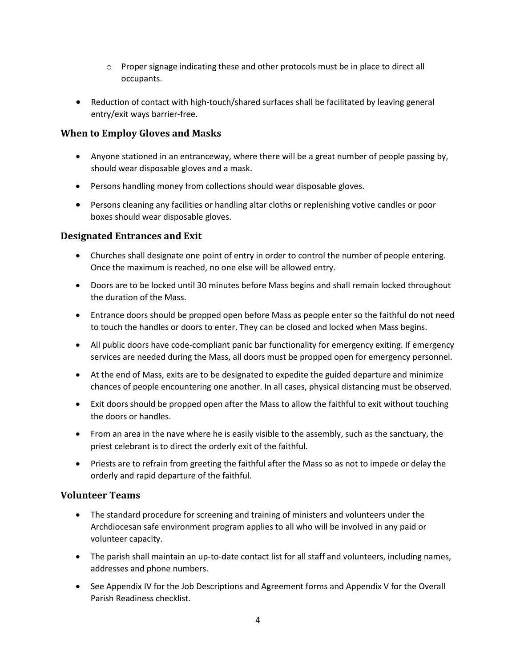- $\circ$  Proper signage indicating these and other protocols must be in place to direct all occupants.
- Reduction of contact with high-touch/shared surfaces shall be facilitated by leaving general entry/exit ways barrier-free.

### **When to Employ Gloves and Masks**

- Anyone stationed in an entranceway, where there will be a great number of people passing by, should wear disposable gloves and a mask.
- Persons handling money from collections should wear disposable gloves.
- Persons cleaning any facilities or handling altar cloths or replenishing votive candles or poor boxes should wear disposable gloves.

### **Designated Entrances and Exit**

- Churches shall designate one point of entry in order to control the number of people entering. Once the maximum is reached, no one else will be allowed entry.
- Doors are to be locked until 30 minutes before Mass begins and shall remain locked throughout the duration of the Mass.
- Entrance doors should be propped open before Mass as people enter so the faithful do not need to touch the handles or doors to enter. They can be closed and locked when Mass begins.
- All public doors have code-compliant panic bar functionality for emergency exiting. If emergency services are needed during the Mass, all doors must be propped open for emergency personnel.
- At the end of Mass, exits are to be designated to expedite the guided departure and minimize chances of people encountering one another. In all cases, physical distancing must be observed.
- Exit doors should be propped open after the Mass to allow the faithful to exit without touching the doors or handles.
- From an area in the nave where he is easily visible to the assembly, such as the sanctuary, the priest celebrant is to direct the orderly exit of the faithful.
- Priests are to refrain from greeting the faithful after the Mass so as not to impede or delay the orderly and rapid departure of the faithful.

### **Volunteer Teams**

- The standard procedure for screening and training of ministers and volunteers under the Archdiocesan safe environment program applies to all who will be involved in any paid or volunteer capacity.
- The parish shall maintain an up-to-date contact list for all staff and volunteers, including names, addresses and phone numbers.
- See Appendix IV for the Job Descriptions and Agreement forms and Appendix V for the Overall Parish Readiness checklist.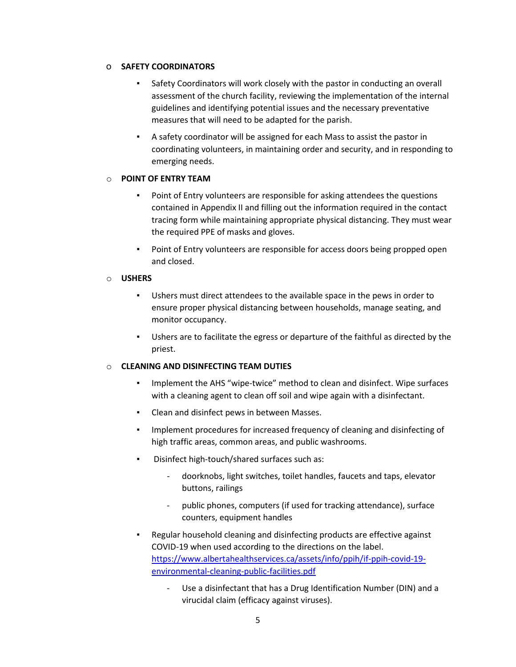### o **SAFETY COORDINATORS**

- Safety Coordinators will work closely with the pastor in conducting an overall assessment of the church facility, reviewing the implementation of the internal guidelines and identifying potential issues and the necessary preventative measures that will need to be adapted for the parish.
- A safety coordinator will be assigned for each Mass to assist the pastor in coordinating volunteers, in maintaining order and security, and in responding to emerging needs.

### o **POINT OF ENTRY TEAM**

- Point of Entry volunteers are responsible for asking attendees the questions contained in Appendix II and filling out the information required in the contact tracing form while maintaining appropriate physical distancing. They must wear the required PPE of masks and gloves.
- Point of Entry volunteers are responsible for access doors being propped open and closed.

### o **USHERS**

- Ushers must direct attendees to the available space in the pews in order to ensure proper physical distancing between households, manage seating, and monitor occupancy.
- Ushers are to facilitate the egress or departure of the faithful as directed by the priest.

### o **CLEANING AND DISINFECTING TEAM DUTIES**

- Implement the AHS "wipe-twice" method to clean and disinfect. Wipe surfaces with a cleaning agent to clean off soil and wipe again with a disinfectant.
- Clean and disinfect pews in between Masses.
- Implement procedures for increased frequency of cleaning and disinfecting of high traffic areas, common areas, and public washrooms.
- Disinfect high-touch/shared surfaces such as:
	- doorknobs, light switches, toilet handles, faucets and taps, elevator buttons, railings
	- public phones, computers (if used for tracking attendance), surface counters, equipment handles
- Regular household cleaning and disinfecting products are effective against COVID-19 when used according to the directions on the label. [https://www.albertahealthservices.ca/assets/info/ppih/if-ppih-covid-19](https://www.albertahealthservices.ca/assets/info/ppih/if-ppih-covid-19-environmental-cleaning-public-facilities.pdf) [environmental-cleaning-public-facilities.pdf](https://www.albertahealthservices.ca/assets/info/ppih/if-ppih-covid-19-environmental-cleaning-public-facilities.pdf)
	- Use a disinfectant that has a Drug Identification Number (DIN) and a virucidal claim (efficacy against viruses).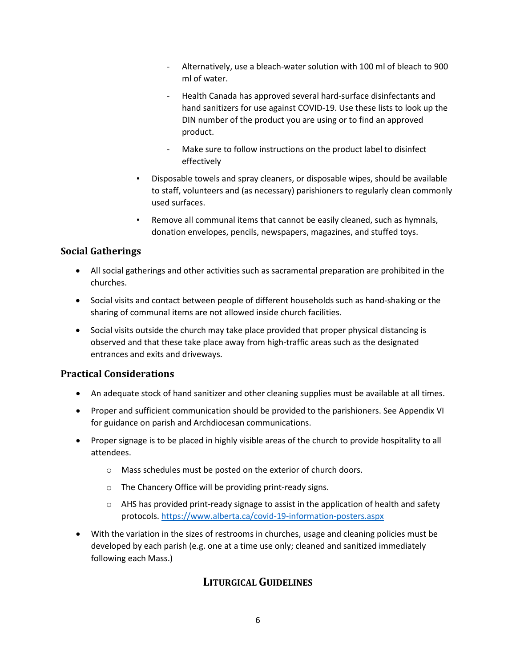- Alternatively, use a bleach-water solution with 100 ml of bleach to 900 ml of water.
- Health Canada has approved several hard-surface disinfectants and hand sanitizers for use against COVID-19. Use these lists to look up the DIN number of the product you are using or to find an approved product.
- Make sure to follow instructions on the product label to disinfect effectively
- Disposable towels and spray cleaners, or disposable wipes, should be available to staff, volunteers and (as necessary) parishioners to regularly clean commonly used surfaces.
- Remove all communal items that cannot be easily cleaned, such as hymnals, donation envelopes, pencils, newspapers, magazines, and stuffed toys.

## **Social Gatherings**

- All social gatherings and other activities such as sacramental preparation are prohibited in the churches.
- Social visits and contact between people of different households such as hand-shaking or the sharing of communal items are not allowed inside church facilities.
- Social visits outside the church may take place provided that proper physical distancing is observed and that these take place away from high-traffic areas such as the designated entrances and exits and driveways.

## **Practical Considerations**

- An adequate stock of hand sanitizer and other cleaning supplies must be available at all times.
- Proper and sufficient communication should be provided to the parishioners. See Appendix VI for guidance on parish and Archdiocesan communications.
- Proper signage is to be placed in highly visible areas of the church to provide hospitality to all attendees.
	- o Mass schedules must be posted on the exterior of church doors.
	- o The Chancery Office will be providing print-ready signs.
	- $\circ$  AHS has provided print-ready signage to assist in the application of health and safety protocols[. https://www.alberta.ca/covid-19-information-posters.aspx](https://www.alberta.ca/covid-19-information-posters.aspx)
- With the variation in the sizes of restrooms in churches, usage and cleaning policies must be developed by each parish (e.g. one at a time use only; cleaned and sanitized immediately following each Mass.)

## **LITURGICAL GUIDELINES**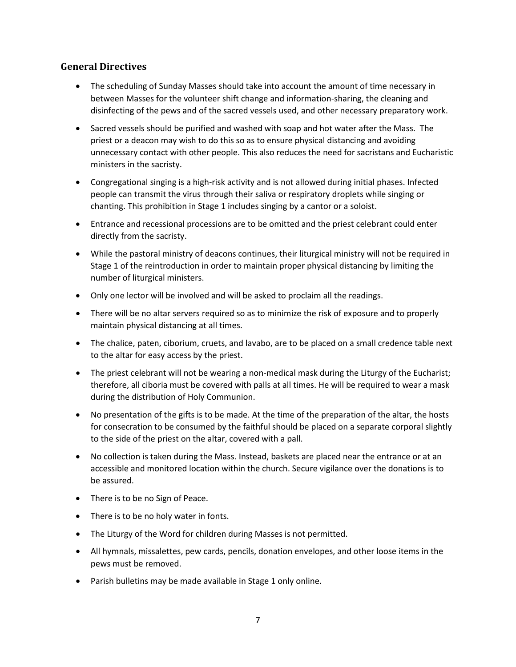### **General Directives**

- The scheduling of Sunday Masses should take into account the amount of time necessary in between Masses for the volunteer shift change and information-sharing, the cleaning and disinfecting of the pews and of the sacred vessels used, and other necessary preparatory work.
- Sacred vessels should be purified and washed with soap and hot water after the Mass. The priest or a deacon may wish to do this so as to ensure physical distancing and avoiding unnecessary contact with other people. This also reduces the need for sacristans and Eucharistic ministers in the sacristy.
- Congregational singing is a high-risk activity and is not allowed during initial phases. Infected people can transmit the virus through their saliva or respiratory droplets while singing or chanting. This prohibition in Stage 1 includes singing by a cantor or a soloist.
- Entrance and recessional processions are to be omitted and the priest celebrant could enter directly from the sacristy.
- While the pastoral ministry of deacons continues, their liturgical ministry will not be required in Stage 1 of the reintroduction in order to maintain proper physical distancing by limiting the number of liturgical ministers.
- Only one lector will be involved and will be asked to proclaim all the readings.
- There will be no altar servers required so as to minimize the risk of exposure and to properly maintain physical distancing at all times.
- The chalice, paten, ciborium, cruets, and lavabo, are to be placed on a small credence table next to the altar for easy access by the priest.
- The priest celebrant will not be wearing a non-medical mask during the Liturgy of the Eucharist; therefore, all ciboria must be covered with palls at all times. He will be required to wear a mask during the distribution of Holy Communion.
- No presentation of the gifts is to be made. At the time of the preparation of the altar, the hosts for consecration to be consumed by the faithful should be placed on a separate corporal slightly to the side of the priest on the altar, covered with a pall.
- No collection is taken during the Mass. Instead, baskets are placed near the entrance or at an accessible and monitored location within the church. Secure vigilance over the donations is to be assured.
- There is to be no Sign of Peace.
- There is to be no holy water in fonts.
- The Liturgy of the Word for children during Masses is not permitted.
- All hymnals, missalettes, pew cards, pencils, donation envelopes, and other loose items in the pews must be removed.
- Parish bulletins may be made available in Stage 1 only online.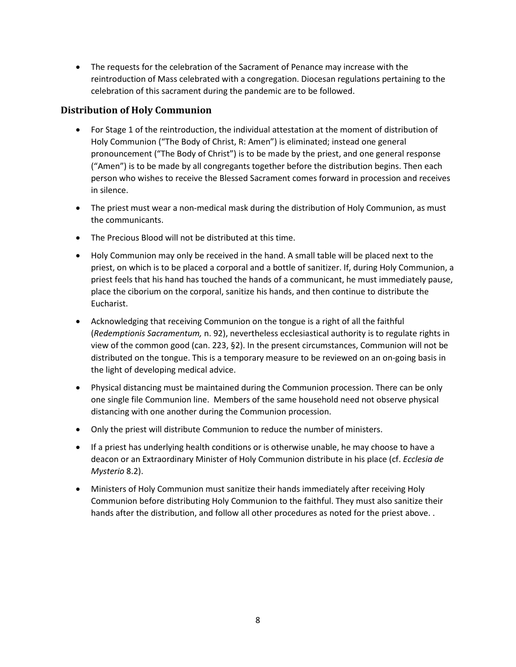• The requests for the celebration of the Sacrament of Penance may increase with the reintroduction of Mass celebrated with a congregation. Diocesan regulations pertaining to the celebration of this sacrament during the pandemic are to be followed.

### **Distribution of Holy Communion**

- For Stage 1 of the reintroduction, the individual attestation at the moment of distribution of Holy Communion ("The Body of Christ, R: Amen") is eliminated; instead one general pronouncement ("The Body of Christ") is to be made by the priest, and one general response ("Amen") is to be made by all congregants together before the distribution begins. Then each person who wishes to receive the Blessed Sacrament comes forward in procession and receives in silence.
- The priest must wear a non-medical mask during the distribution of Holy Communion, as must the communicants.
- The Precious Blood will not be distributed at this time.
- Holy Communion may only be received in the hand. A small table will be placed next to the priest, on which is to be placed a corporal and a bottle of sanitizer. If, during Holy Communion, a priest feels that his hand has touched the hands of a communicant, he must immediately pause, place the ciborium on the corporal, sanitize his hands, and then continue to distribute the Eucharist.
- Acknowledging that receiving Communion on the tongue is a right of all the faithful (*Redemptionis Sacramentum,* n. 92), nevertheless ecclesiastical authority is to regulate rights in view of the common good (can. 223, §2). In the present circumstances, Communion will not be distributed on the tongue. This is a temporary measure to be reviewed on an on-going basis in the light of developing medical advice.
- Physical distancing must be maintained during the Communion procession. There can be only one single file Communion line. Members of the same household need not observe physical distancing with one another during the Communion procession.
- Only the priest will distribute Communion to reduce the number of ministers.
- If a priest has underlying health conditions or is otherwise unable, he may choose to have a deacon or an Extraordinary Minister of Holy Communion distribute in his place (cf. *Ecclesia de Mysterio* 8.2).
- Ministers of Holy Communion must sanitize their hands immediately after receiving Holy Communion before distributing Holy Communion to the faithful. They must also sanitize their hands after the distribution, and follow all other procedures as noted for the priest above. .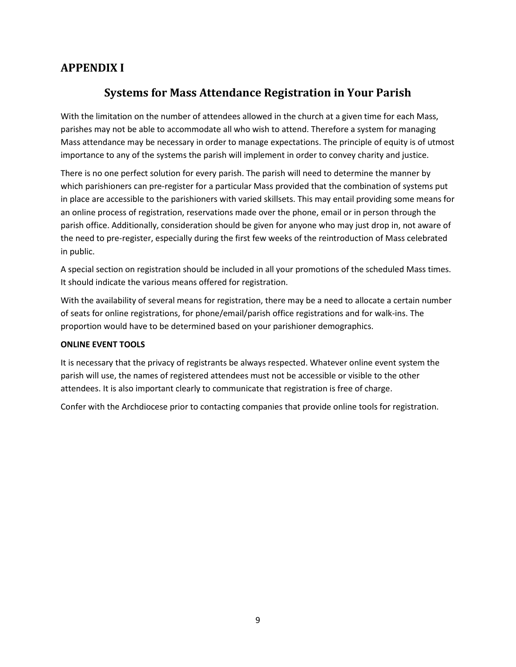## **APPENDIX I**

## **Systems for Mass Attendance Registration in Your Parish**

With the limitation on the number of attendees allowed in the church at a given time for each Mass, parishes may not be able to accommodate all who wish to attend. Therefore a system for managing Mass attendance may be necessary in order to manage expectations. The principle of equity is of utmost importance to any of the systems the parish will implement in order to convey charity and justice.

There is no one perfect solution for every parish. The parish will need to determine the manner by which parishioners can pre-register for a particular Mass provided that the combination of systems put in place are accessible to the parishioners with varied skillsets. This may entail providing some means for an online process of registration, reservations made over the phone, email or in person through the parish office. Additionally, consideration should be given for anyone who may just drop in, not aware of the need to pre-register, especially during the first few weeks of the reintroduction of Mass celebrated in public.

A special section on registration should be included in all your promotions of the scheduled Mass times. It should indicate the various means offered for registration.

With the availability of several means for registration, there may be a need to allocate a certain number of seats for online registrations, for phone/email/parish office registrations and for walk-ins. The proportion would have to be determined based on your parishioner demographics.

### **ONLINE EVENT TOOLS**

It is necessary that the privacy of registrants be always respected. Whatever online event system the parish will use, the names of registered attendees must not be accessible or visible to the other attendees. It is also important clearly to communicate that registration is free of charge.

Confer with the Archdiocese prior to contacting companies that provide online tools for registration.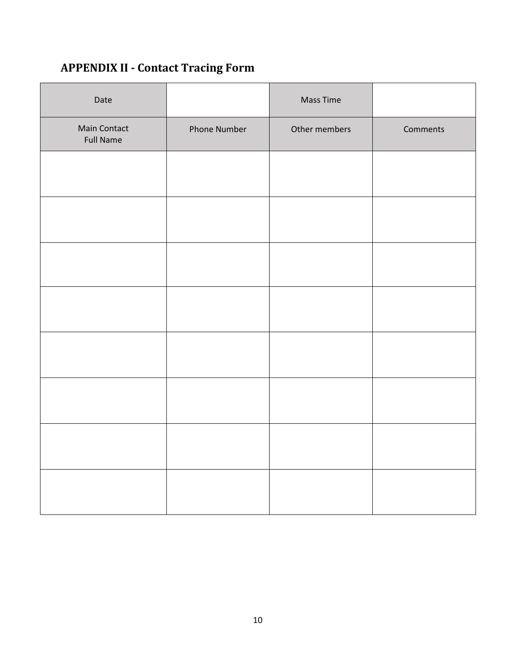# **APPENDIX II - Contact Tracing Form**

| Date                             |              | <b>Mass Time</b> |          |
|----------------------------------|--------------|------------------|----------|
| Main Contact<br><b>Full Name</b> | Phone Number | Other members    | Comments |
|                                  |              |                  |          |
|                                  |              |                  |          |
|                                  |              |                  |          |
|                                  |              |                  |          |
|                                  |              |                  |          |
|                                  |              |                  |          |
|                                  |              |                  |          |
|                                  |              |                  |          |
|                                  |              |                  |          |
|                                  |              |                  |          |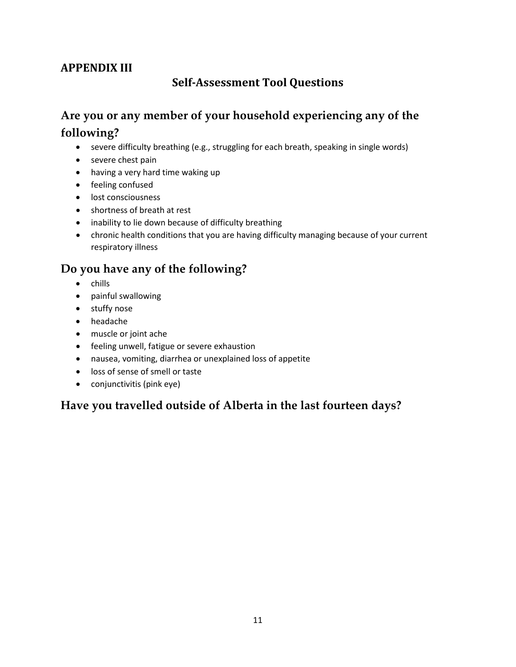# **APPENDIX III**

## **Self-Assessment Tool Questions**

# **Are you or any member of your household experiencing any of the following?**

- severe difficulty breathing (e.g., struggling for each breath, speaking in single words)
- severe chest pain
- having a very hard time waking up
- feeling confused
- lost consciousness
- shortness of breath at rest
- inability to lie down because of difficulty breathing
- chronic health conditions that you are having difficulty managing because of your current respiratory illness

## **Do you have any of the following?**

- chills
- painful swallowing
- stuffy nose
- headache
- muscle or joint ache
- feeling unwell, fatigue or severe exhaustion
- nausea, vomiting, diarrhea or unexplained loss of appetite
- loss of sense of smell or taste
- conjunctivitis (pink eye)

## **Have you travelled outside of Alberta in the last fourteen days?**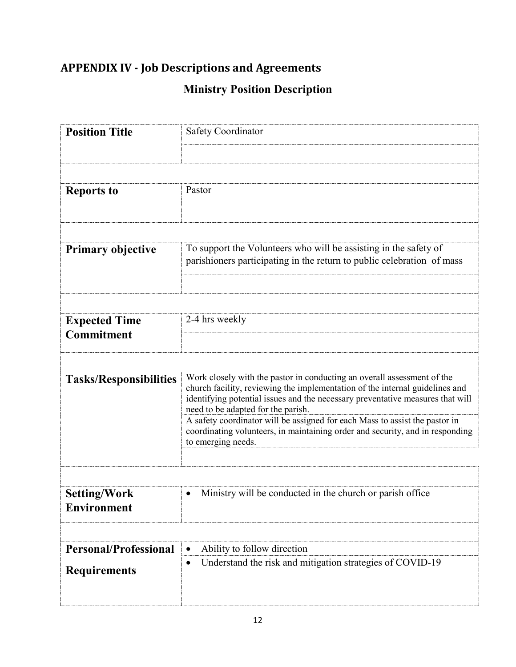# **APPENDIX IV - Job Descriptions and Agreements**

# **Ministry Position Description**

| <b>Position Title</b>                     | Safety Coordinator                                                                                                                                                                                                                                                              |  |
|-------------------------------------------|---------------------------------------------------------------------------------------------------------------------------------------------------------------------------------------------------------------------------------------------------------------------------------|--|
|                                           |                                                                                                                                                                                                                                                                                 |  |
|                                           |                                                                                                                                                                                                                                                                                 |  |
| <b>Reports to</b>                         | Pastor                                                                                                                                                                                                                                                                          |  |
|                                           |                                                                                                                                                                                                                                                                                 |  |
|                                           |                                                                                                                                                                                                                                                                                 |  |
| <b>Primary objective</b>                  | To support the Volunteers who will be assisting in the safety of<br>parishioners participating in the return to public celebration of mass                                                                                                                                      |  |
|                                           |                                                                                                                                                                                                                                                                                 |  |
|                                           |                                                                                                                                                                                                                                                                                 |  |
| <b>Expected Time</b>                      | 2-4 hrs weekly                                                                                                                                                                                                                                                                  |  |
| <b>Commitment</b>                         |                                                                                                                                                                                                                                                                                 |  |
|                                           |                                                                                                                                                                                                                                                                                 |  |
| <b>Tasks/Responsibilities</b>             | Work closely with the pastor in conducting an overall assessment of the<br>church facility, reviewing the implementation of the internal guidelines and<br>identifying potential issues and the necessary preventative measures that will<br>need to be adapted for the parish. |  |
|                                           | A safety coordinator will be assigned for each Mass to assist the pastor in<br>coordinating volunteers, in maintaining order and security, and in responding<br>to emerging needs.                                                                                              |  |
|                                           |                                                                                                                                                                                                                                                                                 |  |
|                                           |                                                                                                                                                                                                                                                                                 |  |
| <b>Setting/Work</b><br><b>Environment</b> | Ministry will be conducted in the church or parish office<br>$\bullet$                                                                                                                                                                                                          |  |
|                                           |                                                                                                                                                                                                                                                                                 |  |
| <b>Personal/Professional</b>              | Ability to follow direction                                                                                                                                                                                                                                                     |  |
| <b>Requirements</b>                       | Understand the risk and mitigation strategies of COVID-19                                                                                                                                                                                                                       |  |
|                                           |                                                                                                                                                                                                                                                                                 |  |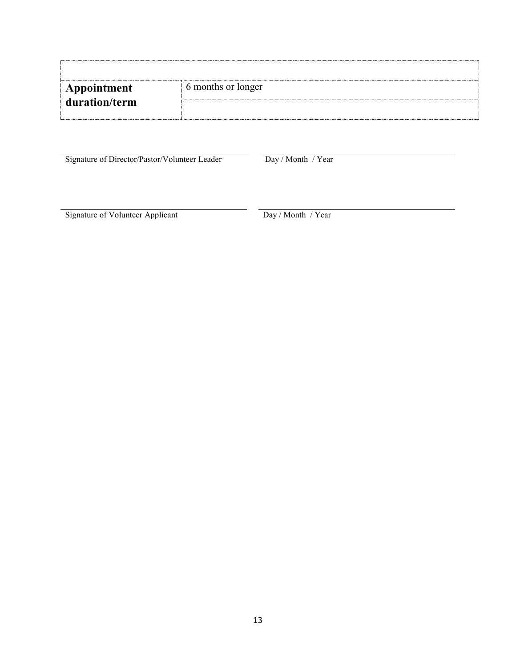| <b>Appointment</b> | 6 months or longer |
|--------------------|--------------------|
| duration/term      |                    |
|                    |                    |

Signature of Director/Pastor/Volunteer Leader Day / Month / Year

Signature of Volunteer Applicant Day / Month / Year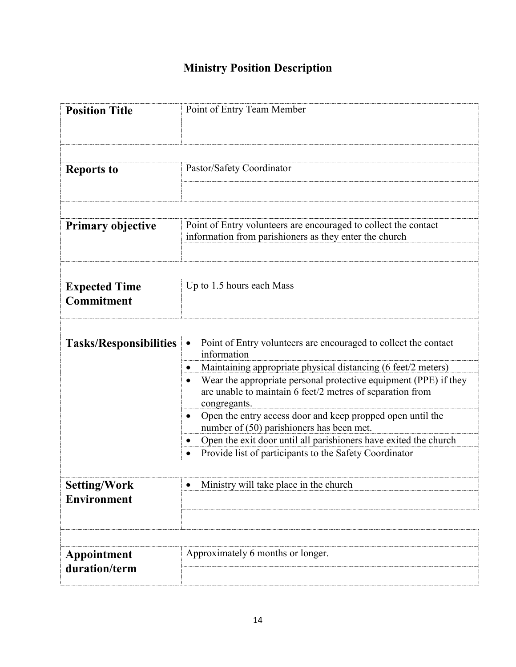# **Ministry Position Description**

| <b>Position Title</b>         | Point of Entry Team Member                                                                                                                    |
|-------------------------------|-----------------------------------------------------------------------------------------------------------------------------------------------|
|                               |                                                                                                                                               |
|                               |                                                                                                                                               |
| <b>Reports to</b>             | Pastor/Safety Coordinator                                                                                                                     |
|                               |                                                                                                                                               |
|                               |                                                                                                                                               |
| <b>Primary objective</b>      | Point of Entry volunteers are encouraged to collect the contact<br>information from parishioners as they enter the church                     |
|                               |                                                                                                                                               |
| <b>Expected Time</b>          | Up to 1.5 hours each Mass                                                                                                                     |
| <b>Commitment</b>             |                                                                                                                                               |
|                               |                                                                                                                                               |
| <b>Tasks/Responsibilities</b> | Point of Entry volunteers are encouraged to collect the contact<br>information                                                                |
|                               | Maintaining appropriate physical distancing (6 feet/2 meters)                                                                                 |
|                               | Wear the appropriate personal protective equipment (PPE) if they<br>are unable to maintain 6 feet/2 metres of separation from<br>congregants. |
|                               | Open the entry access door and keep propped open until the<br>number of (50) parishioners has been met.                                       |
|                               | Open the exit door until all parishioners have exited the church                                                                              |
|                               | Provide list of participants to the Safety Coordinator                                                                                        |
| <b>Setting/Work</b>           | Ministry will take place in the church                                                                                                        |
| <b>Environment</b>            |                                                                                                                                               |
|                               |                                                                                                                                               |
|                               |                                                                                                                                               |
| Appointment                   | Approximately 6 months or longer.                                                                                                             |
| duration/term                 |                                                                                                                                               |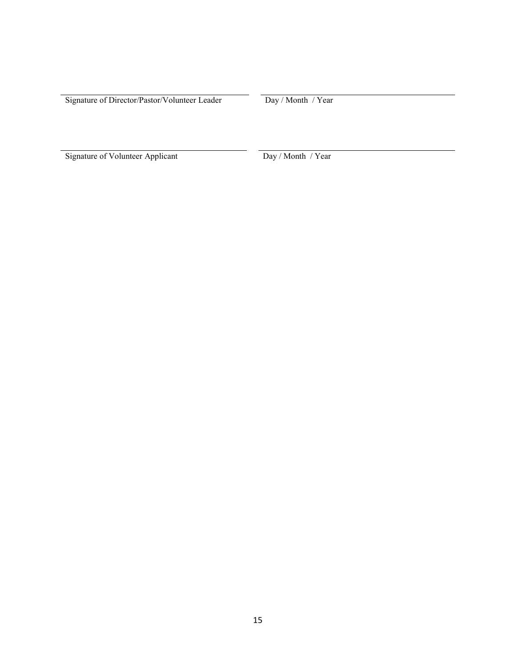Signature of Director/Pastor/Volunteer Leader Day / Month / Year

Signature of Volunteer Applicant Day / Month / Year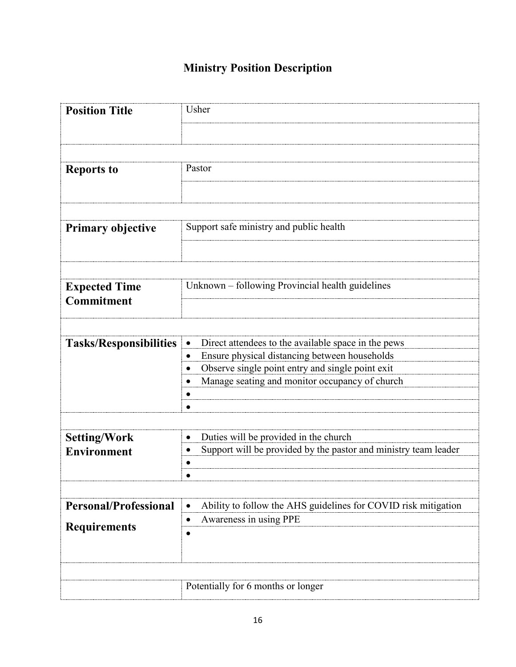# **Ministry Position Description**

| <b>Position Title</b>         | Usher                                                           |  |
|-------------------------------|-----------------------------------------------------------------|--|
|                               |                                                                 |  |
|                               |                                                                 |  |
| <b>Reports to</b>             | Pastor                                                          |  |
|                               |                                                                 |  |
|                               |                                                                 |  |
| <b>Primary objective</b>      | Support safe ministry and public health                         |  |
|                               |                                                                 |  |
|                               |                                                                 |  |
| <b>Expected Time</b>          | Unknown - following Provincial health guidelines                |  |
| Commitment                    |                                                                 |  |
|                               |                                                                 |  |
| <b>Tasks/Responsibilities</b> | Direct attendees to the available space in the pews             |  |
|                               | Ensure physical distancing between households                   |  |
|                               | Observe single point entry and single point exit                |  |
|                               | Manage seating and monitor occupancy of church                  |  |
|                               |                                                                 |  |
|                               |                                                                 |  |
|                               |                                                                 |  |
| <b>Setting/Work</b>           | Duties will be provided in the church                           |  |
| Environment                   | Support will be provided by the pastor and ministry team leader |  |
|                               |                                                                 |  |
|                               |                                                                 |  |
|                               |                                                                 |  |
| <b>Personal/Professional</b>  | Ability to follow the AHS guidelines for COVID risk mitigation  |  |
|                               | Awareness in using PPE                                          |  |
| <b>Requirements</b>           |                                                                 |  |
|                               |                                                                 |  |
|                               |                                                                 |  |
|                               | Potentially for 6 months or longer                              |  |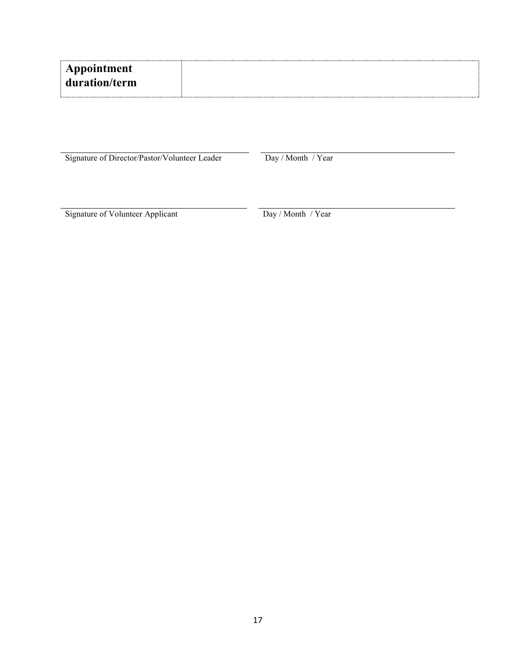| Appointment   |  |
|---------------|--|
| duration/term |  |

Signature of Director/Pastor/Volunteer Leader Day / Month / Year

Signature of Volunteer Applicant Day / Month / Year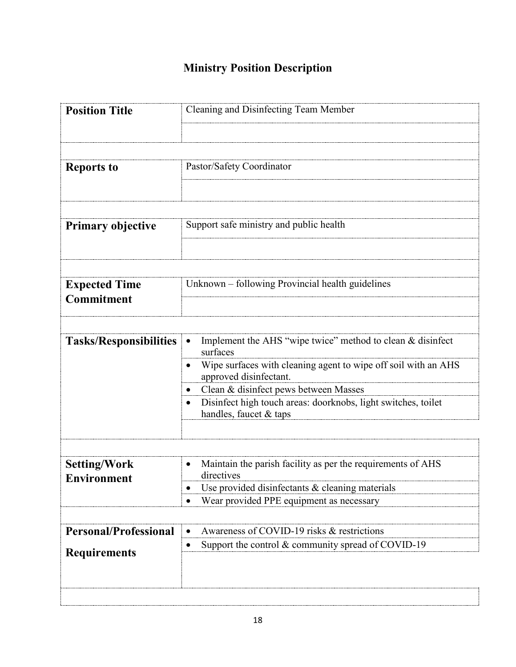# **Ministry Position Description**

| <b>Position Title</b>              | Cleaning and Disinfecting Team Member                                                    |
|------------------------------------|------------------------------------------------------------------------------------------|
|                                    |                                                                                          |
|                                    |                                                                                          |
| <b>Reports to</b>                  | Pastor/Safety Coordinator                                                                |
|                                    |                                                                                          |
| <b>Primary objective</b>           | Support safe ministry and public health                                                  |
|                                    |                                                                                          |
| <b>Expected Time</b><br>Commitment | Unknown – following Provincial health guidelines                                         |
|                                    |                                                                                          |
| <b>Tasks/Responsibilities</b>      | Implement the AHS "wipe twice" method to clean & disinfect<br>surfaces                   |
|                                    | Wipe surfaces with cleaning agent to wipe off soil with an AHS<br>approved disinfectant. |
|                                    | Clean & disinfect pews between Masses                                                    |
|                                    | Disinfect high touch areas: doorknobs, light switches, toilet<br>handles, faucet & taps  |
|                                    |                                                                                          |
| <b>Setting/Work</b>                | Maintain the parish facility as per the requirements of AHS                              |
| <b>Environment</b>                 | directives                                                                               |
|                                    | Use provided disinfectants & cleaning materials                                          |
|                                    | Wear provided PPE equipment as necessary                                                 |
| <b>Personal/Professional</b>       | Awareness of COVID-19 risks & restrictions                                               |
| <b>Requirements</b>                | Support the control & community spread of COVID-19                                       |
|                                    |                                                                                          |
|                                    |                                                                                          |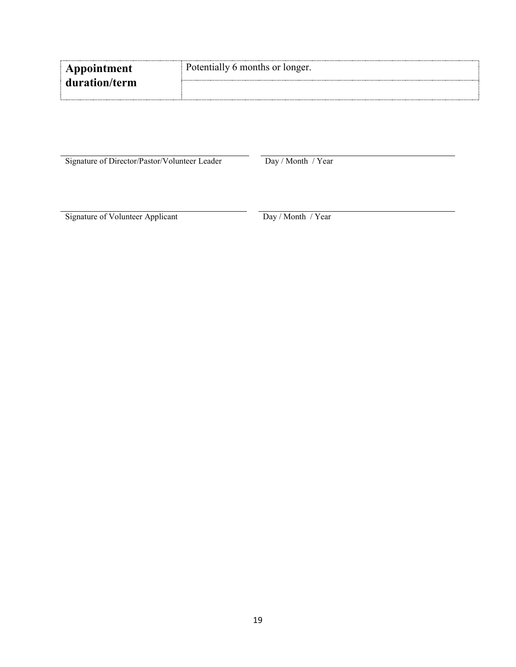| Appointment   | Potentially 6 months or longer. |
|---------------|---------------------------------|
| duration/term |                                 |

Signature of Director/Pastor/Volunteer Leader Day / Month / Year

Signature of Volunteer Applicant Day / Month / Year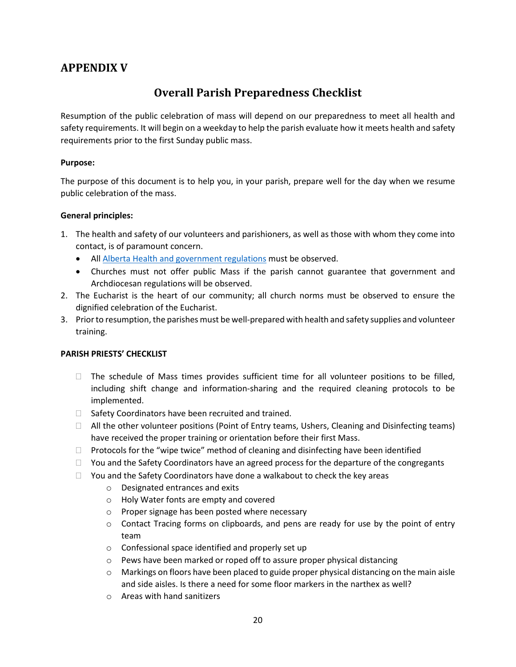## **APPENDIX V**

## **Overall Parish Preparedness Checklist**

Resumption of the public celebration of mass will depend on our preparedness to meet all health and safety requirements. It will begin on a weekday to help the parish evaluate how it meets health and safety requirements prior to the first Sunday public mass.

### **Purpose:**

The purpose of this document is to help you, in your parish, prepare well for the day when we resume public celebration of the mass.

### **General principles:**

- 1. The health and safety of our volunteers and parishioners, as well as those with whom they come into contact, is of paramount concern.
	- All *Alberta Health and government regulations* must be observed.
	- Churches must not offer public Mass if the parish cannot guarantee that government and Archdiocesan regulations will be observed.
- 2. The Eucharist is the heart of our community; all church norms must be observed to ensure the dignified celebration of the Eucharist.
- 3. Prior to resumption, the parishes must be well-prepared with health and safety supplies and volunteer training.

### **PARISH PRIESTS' CHECKLIST**

- $\Box$  The schedule of Mass times provides sufficient time for all volunteer positions to be filled, including shift change and information-sharing and the required cleaning protocols to be implemented.
- $\Box$  Safety Coordinators have been recruited and trained.
- All the other volunteer positions (Point of Entry teams, Ushers, Cleaning and Disinfecting teams) have received the proper training or orientation before their first Mass.
- $\Box$  Protocols for the "wipe twice" method of cleaning and disinfecting have been identified
- $\Box$  You and the Safety Coordinators have an agreed process for the departure of the congregants
- $\Box$  You and the Safety Coordinators have done a walkabout to check the key areas
	- o Designated entrances and exits
	- o Holy Water fonts are empty and covered
	- o Proper signage has been posted where necessary
	- $\circ$  Contact Tracing forms on clipboards, and pens are ready for use by the point of entry team
	- o Confessional space identified and properly set up
	- o Pews have been marked or roped off to assure proper physical distancing
	- $\circ$  Markings on floors have been placed to guide proper physical distancing on the main aisle and side aisles. Is there a need for some floor markers in the narthex as well?
	- o Areas with hand sanitizers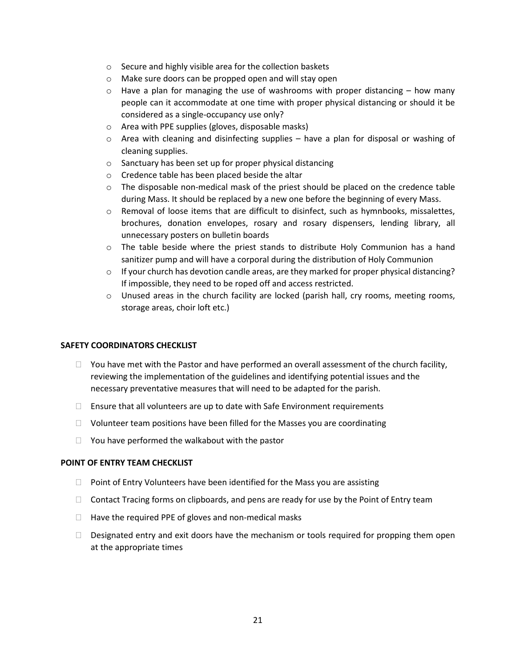- o Secure and highly visible area for the collection baskets
- o Make sure doors can be propped open and will stay open
- $\circ$  Have a plan for managing the use of washrooms with proper distancing how many people can it accommodate at one time with proper physical distancing or should it be considered as a single-occupancy use only?
- o Area with PPE supplies (gloves, disposable masks)
- $\circ$  Area with cleaning and disinfecting supplies have a plan for disposal or washing of cleaning supplies.
- o Sanctuary has been set up for proper physical distancing
- o Credence table has been placed beside the altar
- $\circ$  The disposable non-medical mask of the priest should be placed on the credence table during Mass. It should be replaced by a new one before the beginning of every Mass.
- $\circ$  Removal of loose items that are difficult to disinfect, such as hymnbooks, missalettes, brochures, donation envelopes, rosary and rosary dispensers, lending library, all unnecessary posters on bulletin boards
- $\circ$  The table beside where the priest stands to distribute Holy Communion has a hand sanitizer pump and will have a corporal during the distribution of Holy Communion
- $\circ$  If your church has devotion candle areas, are they marked for proper physical distancing? If impossible, they need to be roped off and access restricted.
- $\circ$  Unused areas in the church facility are locked (parish hall, cry rooms, meeting rooms, storage areas, choir loft etc.)

#### **SAFETY COORDINATORS CHECKLIST**

- $\Box$  You have met with the Pastor and have performed an overall assessment of the church facility, reviewing the implementation of the guidelines and identifying potential issues and the necessary preventative measures that will need to be adapted for the parish.
- $\Box$  Ensure that all volunteers are up to date with Safe Environment requirements
- $\Box$  Volunteer team positions have been filled for the Masses you are coordinating
- $\Box$  You have performed the walkabout with the pastor

### **POINT OF ENTRY TEAM CHECKLIST**

- $\Box$  Point of Entry Volunteers have been identified for the Mass you are assisting
- $\Box$  Contact Tracing forms on clipboards, and pens are ready for use by the Point of Entry team
- $\Box$  Have the required PPE of gloves and non-medical masks
- $\Box$  Designated entry and exit doors have the mechanism or tools required for propping them open at the appropriate times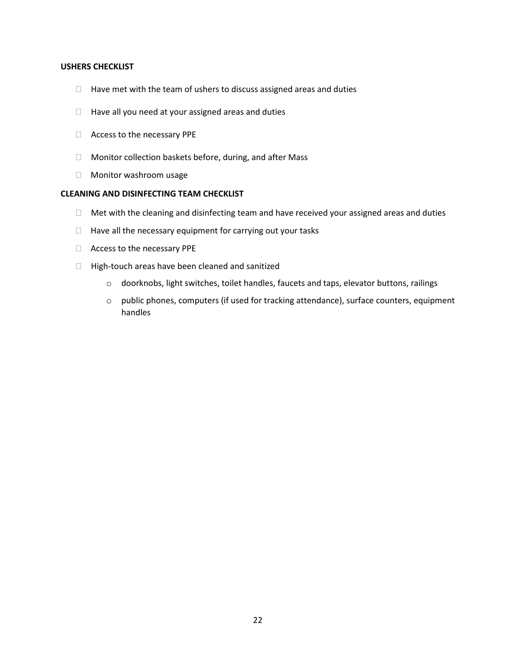#### **USHERS CHECKLIST**

- $\Box$  Have met with the team of ushers to discuss assigned areas and duties
- $\Box$  Have all you need at your assigned areas and duties
- Access to the necessary PPE
- □ Monitor collection baskets before, during, and after Mass
- Monitor washroom usage

### **CLEANING AND DISINFECTING TEAM CHECKLIST**

- $\Box$  Met with the cleaning and disinfecting team and have received your assigned areas and duties
- $\Box$  Have all the necessary equipment for carrying out your tasks
- Access to the necessary PPE
- $\Box$  High-touch areas have been cleaned and sanitized
	- o doorknobs, light switches, toilet handles, faucets and taps, elevator buttons, railings
	- o public phones, computers (if used for tracking attendance), surface counters, equipment handles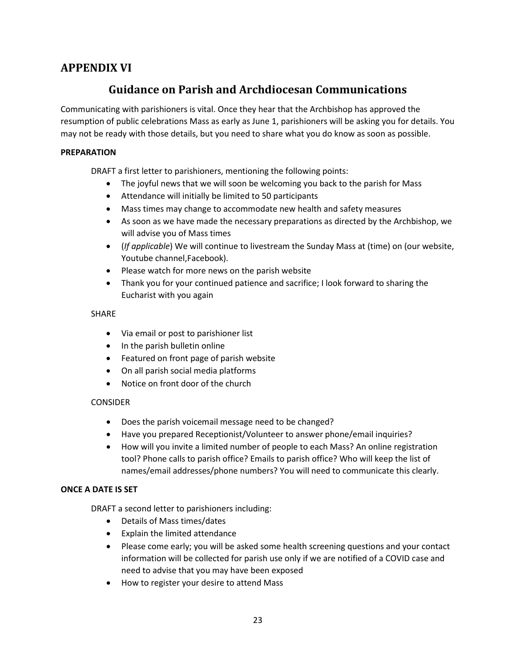## **APPENDIX VI**

## **Guidance on Parish and Archdiocesan Communications**

Communicating with parishioners is vital. Once they hear that the Archbishop has approved the resumption of public celebrations Mass as early as June 1, parishioners will be asking you for details. You may not be ready with those details, but you need to share what you do know as soon as possible.

### **PREPARATION**

DRAFT a first letter to parishioners, mentioning the following points:

- The joyful news that we will soon be welcoming you back to the parish for Mass
- Attendance will initially be limited to 50 participants
- Mass times may change to accommodate new health and safety measures
- As soon as we have made the necessary preparations as directed by the Archbishop, we will advise you of Mass times
- (*If applicable*) We will continue to livestream the Sunday Mass at (time) on (our website, Youtube channel,Facebook).
- Please watch for more news on the parish website
- Thank you for your continued patience and sacrifice; I look forward to sharing the Eucharist with you again

### SHARE

- Via email or post to parishioner list
- In the parish bulletin online
- Featured on front page of parish website
- On all parish social media platforms
- Notice on front door of the church

### **CONSIDER**

- Does the parish voicemail message need to be changed?
- Have you prepared Receptionist/Volunteer to answer phone/email inquiries?
- How will you invite a limited number of people to each Mass? An online registration tool? Phone calls to parish office? Emails to parish office? Who will keep the list of names/email addresses/phone numbers? You will need to communicate this clearly.

### **ONCE A DATE IS SET**

DRAFT a second letter to parishioners including:

- Details of Mass times/dates
- Explain the limited attendance
- Please come early; you will be asked some health screening questions and your contact information will be collected for parish use only if we are notified of a COVID case and need to advise that you may have been exposed
- How to register your desire to attend Mass